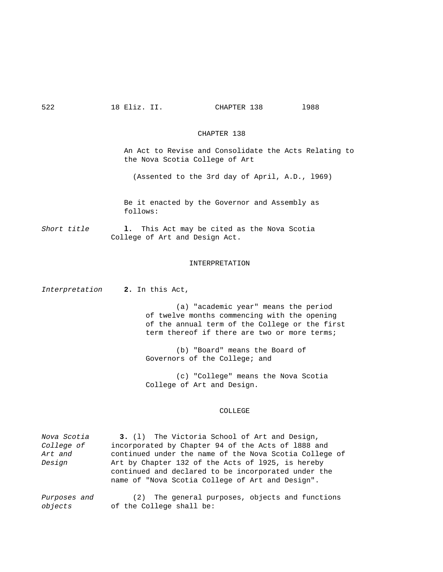#### CHAPTER 138

 An Act to Revise and Consolidate the Acts Relating to the Nova Scotia College of Art

(Assented to the 3rd day of April, A.D., l969)

 Be it enacted by the Governor and Assembly as follows:

*Short title* **l.** This Act may be cited as the Nova Scotia College of Art and Design Act.

## INTERPRETATION

*Interpretation* **2.** In this Act,

(a) "academic year" means the period of twelve months commencing with the opening of the annual term of the College or the first term thereof if there are two or more terms;

 (b) "Board" means the Board of Governors of the College; and

 (c) "College" means the Nova Scotia College of Art and Design.

# COLLEGE

| Nova Scotia       | 3. (1) The Victoria School of Art and Design,          |  |  |
|-------------------|--------------------------------------------------------|--|--|
| <i>College of</i> | incorporated by Chapter 94 of the Acts of 1888 and     |  |  |
| Art and           | continued under the name of the Nova Scotia College of |  |  |
| Design            | Art by Chapter 132 of the Acts of 1925, is hereby      |  |  |
|                   | continued and declared to be incorporated under the    |  |  |
|                   | name of "Nova Scotia College of Art and Design".       |  |  |
|                   |                                                        |  |  |

*Purposes and* (2) The general purposes, objects and functions *objects* of the College shall be: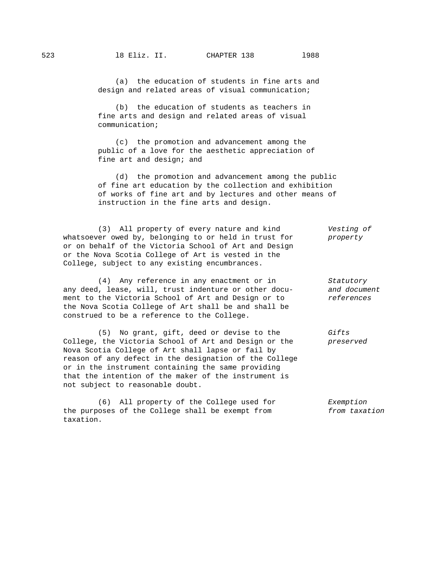(a) the education of students in fine arts and design and related areas of visual communication;

 (b) the education of students as teachers in fine arts and design and related areas of visual communication;

 (c) the promotion and advancement among the public of a love for the aesthetic appreciation of fine art and design; and

 (d) the promotion and advancement among the public of fine art education by the collection and exhibition of works of fine art and by lectures and other means of instruction in the fine arts and design.

 (3) All property of every nature and kind *Vesting of* whatsoever owed by, belonging to or held in trust for *property* or on behalf of the Victoria School of Art and Design or the Nova Scotia College of Art is vested in the College, subject to any existing encumbrances.

 (4) Any reference in any enactment or in *Statutory* any deed, lease, will, trust indenture or other docu- *and document* ment to the Victoria School of Art and Design or to *references* the Nova Scotia College of Art shall be and shall be construed to be a reference to the College.

 (5) No grant, gift, deed or devise to the *Gifts* College, the Victoria School of Art and Design or the *preserved* Nova Scotia College of Art shall lapse or fail by reason of any defect in the designation of the College or in the instrument containing the same providing that the intention of the maker of the instrument is not subject to reasonable doubt.

 (6) All property of the College used for *Exemption* the purposes of the College shall be exempt from *from taxation* taxation.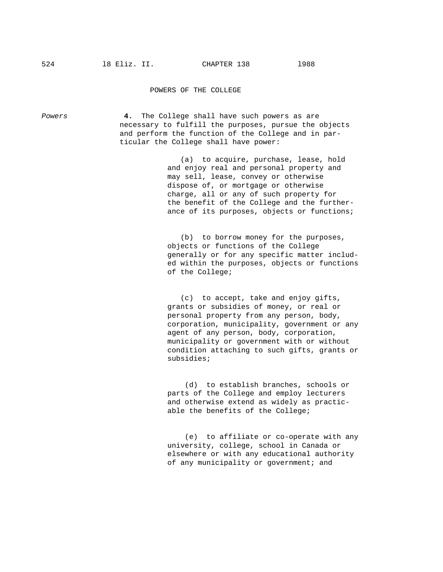#### POWERS OF THE COLLEGE

*Powers* **4.** The College shall have such powers as are necessary to fulfill the purposes, pursue the objects and perform the function of the College and in par ticular the College shall have power: (a) to acquire, purchase, lease, hold and enjoy real and personal property and may sell, lease, convey or otherwise dispose of, or mortgage or otherwise charge, all or any of such property for the benefit of the College and the further ance of its purposes, objects or functions; (b) to borrow money for the purposes,

 objects or functions of the College generally or for any specific matter includ ed within the purposes, objects or functions of the College;

 (c) to accept, take and enjoy gifts, grants or subsidies of money, or real or personal property from any person, body, corporation, municipality, government or any agent of any person, body, corporation, municipality or government with or without condition attaching to such gifts, grants or subsidies;

 (d) to establish branches, schools or parts of the College and employ lecturers and otherwise extend as widely as practic able the benefits of the College;

 (e) to affiliate or co-operate with any university, college, school in Canada or elsewhere or with any educational authority of any municipality or government; and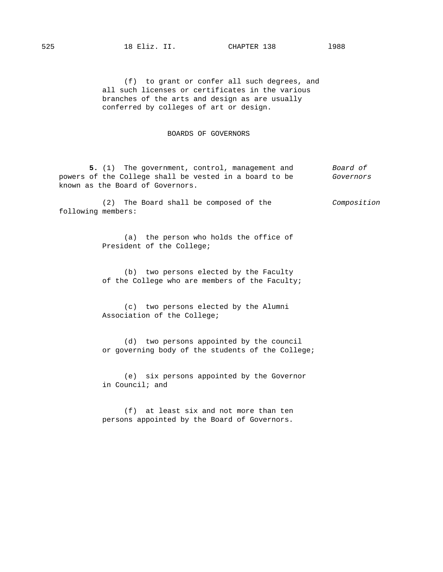(f) to grant or confer all such degrees, and all such licenses or certificates in the various branches of the arts and design as are usually conferred by colleges of art or design.

### BOARDS OF GOVERNORS

 **5.** (1) The government, control, management and *Board of* powers of the College shall be vested in a board to be *Governors* known as the Board of Governors.

 (2) The Board shall be composed of the *Composition* following members:

> (a) the person who holds the office of President of the College;

 (b) two persons elected by the Faculty of the College who are members of the Faculty;

 (c) two persons elected by the Alumni Association of the College;

 (d) two persons appointed by the council or governing body of the students of the College;

 (e) six persons appointed by the Governor in Council; and

 (f) at least six and not more than ten persons appointed by the Board of Governors.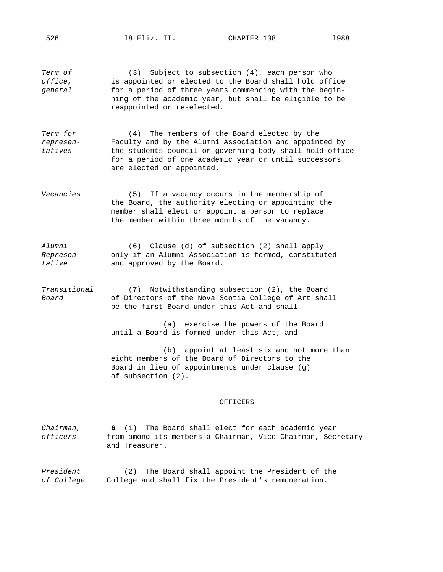*Term of* (3) Subject to subsection (4), each person who *office,* is appointed or elected to the Board shall hold office *general* for a period of three years commencing with the begin ning of the academic year, but shall be eligible to be reappointed or re-elected.

*Term for* (4) The members of the Board elected by the *represen-* Faculty and by the Alumni Association and appointed by *tatives* the students council or governing body shall hold office for a period of one academic year or until successors are elected or appointed.

*Vacancies* (5) If a vacancy occurs in the membership of the Board, the authority electing or appointing the member shall elect or appoint a person to replace the member within three months of the vacancy.

*Alumni* (6) Clause (d) of subsection (2) shall apply *Represen-* only if an Alumni Association is formed, constituted *tative* and approved by the Board.

*Transitional* (7) Notwithstanding subsection (2), the Board *Board* of Directors of the Nova Scotia College of Art shall be the first Board under this Act and shall

> (a) exercise the powers of the Board until a Board is formed under this Act; and

 (b) appoint at least six and not more than eight members of the Board of Directors to the Board in lieu of appointments under clause (g) of subsection (2).

#### OFFICERS

*Chairman,* **6** (1) The Board shall elect for each academic year *officers* from among its members a Chairman, Vice-Chairman, Secretary and Treasurer.

*President* (2) The Board shall appoint the President of the *of College* College and shall fix the President's remuneration.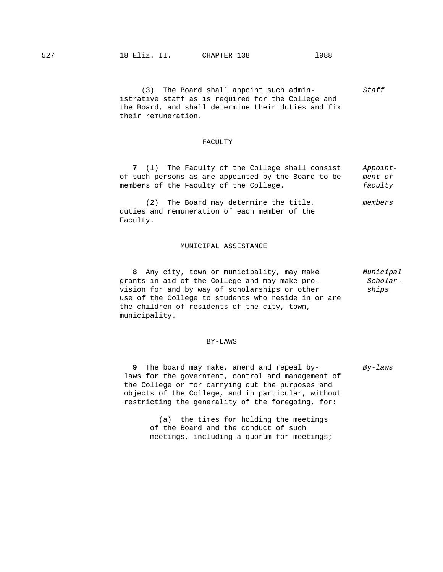(3) The Board shall appoint such admin- *Staff* istrative staff as is required for the College and the Board, and shall determine their duties and fix their remuneration.

## FACULTY

 **7** (l) The Faculty of the College shall consist *Appoint* of such persons as are appointed by the Board to be *ment of* members of the Faculty of the College. *faculty*

 (2) The Board may determine the title, *members* duties and remuneration of each member of the Faculty.

# MUNICIPAL ASSISTANCE

 **8** Any city, town or municipality, may make *Municipal* grants in aid of the College and may make pro vision for and by way of scholarships or other *ships* use of the College to students who reside in or are the children of residents of the city, town, municipality.

# BY-LAWS

 **9** The board may make, amend and repeal by- *By-laws* laws for the government, control and management of the College or for carrying out the purposes and objects of the College, and in particular, without restricting the generality of the foregoing, for:

 (a) the times for holding the meetings of the Board and the conduct of such meetings, including a quorum for meetings;